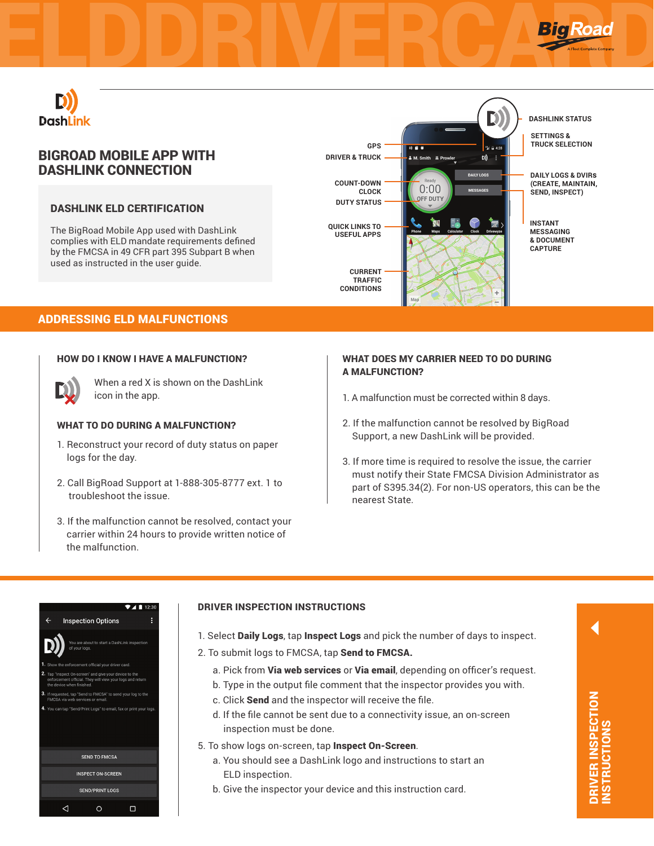



# BIGROAD MOBILE APP WITH DASHLINK CONNECTION

## DASHLINK ELD CERTIFICATION

The BigRoad Mobile App used with DashLink complies with ELD mandate requirements defined by the FMCSA in 49 CFR part 395 Subpart B when used as instructed in the user guide.



## ADDRESSING ELD MALFUNCTIONS

#### HOW DO I KNOW I HAVE A MALFUNCTION?



When a red X is shown on the DashLink icon in the app.

#### WHAT TO DO DURING A MALFUNCTION?

- 1. Reconstruct your record of duty status on paper logs for the day.
- 2. Call BigRoad Support at 1-888-305-8777 ext. 1 to troubleshoot the issue.
- 3. If the malfunction cannot be resolved, contact your carrier within 24 hours to provide written notice of the malfunction.

### WHAT DOES MY CARRIER NEED TO DO DURING A MALFUNCTION?

- 1. A malfunction must be corrected within 8 days.
- 2. If the malfunction cannot be resolved by BigRoad Support, a new DashLink will be provided.
- 3. If more time is required to resolve the issue, the carrier must notify their State FMCSA Division Administrator as part of S395.34(2). For non-US operators, this can be the nearest State.

|              |                           |                                                                                                                     | 12:30 |
|--------------|---------------------------|---------------------------------------------------------------------------------------------------------------------|-------|
| $\leftarrow$ |                           | <b>Inspection Options</b>                                                                                           | Å     |
|              |                           | You are about to start a DashLink inspection<br>of your logs.                                                       |       |
|              |                           | 1. Show the enforcement official your driver card.                                                                  |       |
|              | the device when finished. | 2. Tap "Inspect On-screen" and give your device to the<br>enforcement official. They will view your logs and return |       |
|              |                           | 3. If requested, tap "Send to FMCSA" to send your log to the<br>FMCSA via web services or email.                    |       |
|              |                           | 4. You can tap "Send/Print Logs" to email, fax or print your logs.                                                  |       |
|              |                           | <b>SEND TO FMCSA</b>                                                                                                |       |
|              |                           | <b>INSPECT ON-SCREEN</b>                                                                                            |       |
|              |                           | <b>SEND/PRINT LOGS</b>                                                                                              |       |
|              |                           |                                                                                                                     |       |

#### DRIVER INSPECTION INSTRUCTIONS

- 1. Select Daily Logs, tap Inspect Logs and pick the number of days to inspect.
- 2. To submit logs to FMCSA, tap Send to FMCSA.
	- a. Pick from Via web services or Via email, depending on officer's request.
	- b. Type in the output file comment that the inspector provides you with.
	- c. Click Send and the inspector will receive the file.
	- d. If the file cannot be sent due to a connectivity issue, an on-screen inspection must be done.
- 5. To show logs on-screen, tap Inspect On-Screen.
	- a. You should see a DashLink logo and instructions to start an ELD inspection.
	- b. Give the inspector your device and this instruction card.